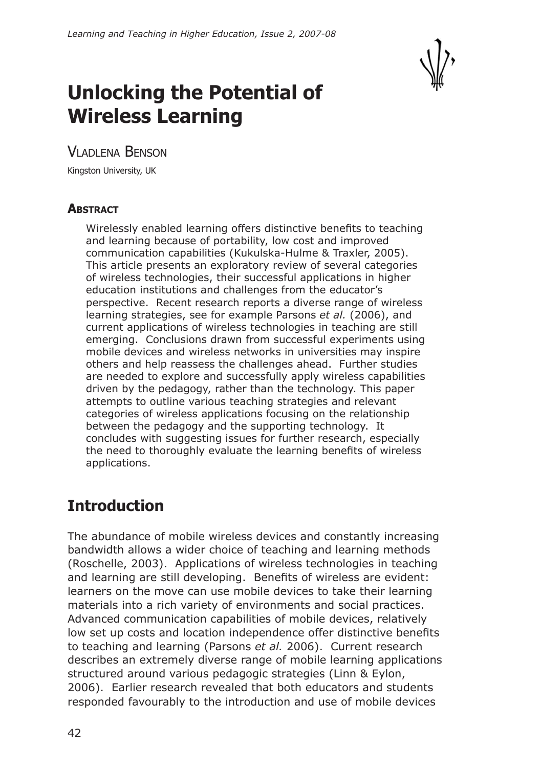

# **Unlocking the Potential of Wireless Learning**

Vladlena Benson

Kingston University, UK

#### **A**BSTRACT

Wirelessly enabled learning offers distinctive benefits to teaching and learning because of portability, low cost and improved communication capabilities (Kukulska-Hulme & Traxler, 2005). This article presents an exploratory review of several categories of wireless technologies, their successful applications in higher education institutions and challenges from the educator's perspective. Recent research reports a diverse range of wireless learning strategies, see for example Parsons *et al.* (2006), and current applications of wireless technologies in teaching are still emerging. Conclusions drawn from successful experiments using mobile devices and wireless networks in universities may inspire others and help reassess the challenges ahead. Further studies are needed to explore and successfully apply wireless capabilities driven by the pedagogy, rather than the technology. This paper attempts to outline various teaching strategies and relevant categories of wireless applications focusing on the relationship between the pedagogy and the supporting technology. It concludes with suggesting issues for further research, especially the need to thoroughly evaluate the learning benefits of wireless applications.

#### **Introduction**

The abundance of mobile wireless devices and constantly increasing bandwidth allows a wider choice of teaching and learning methods (Roschelle, 2003). Applications of wireless technologies in teaching and learning are still developing. Benefits of wireless are evident: learners on the move can use mobile devices to take their learning materials into a rich variety of environments and social practices. Advanced communication capabilities of mobile devices, relatively low set up costs and location independence offer distinctive benefits to teaching and learning (Parsons *et al.* 2006). Current research describes an extremely diverse range of mobile learning applications structured around various pedagogic strategies (Linn & Eylon, 2006). Earlier research revealed that both educators and students responded favourably to the introduction and use of mobile devices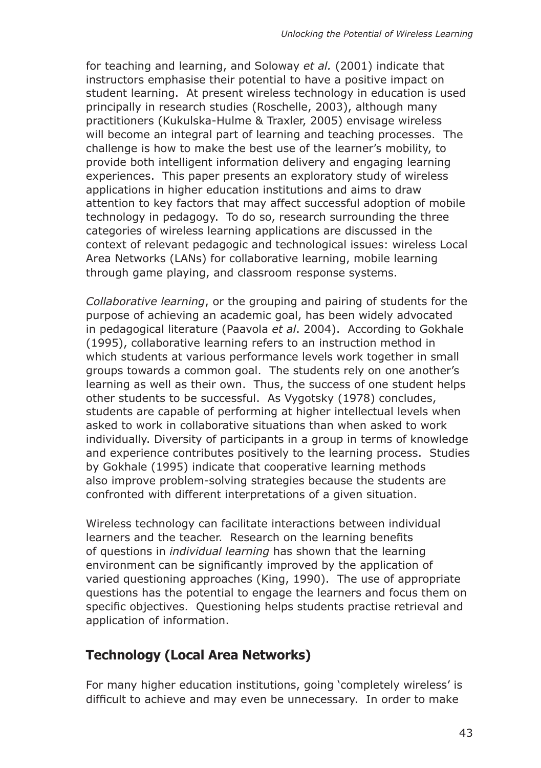for teaching and learning, and Soloway *et al.* (2001) indicate that instructors emphasise their potential to have a positive impact on student learning. At present wireless technology in education is used principally in research studies (Roschelle, 2003), although many practitioners (Kukulska-Hulme & Traxler, 2005) envisage wireless will become an integral part of learning and teaching processes. The challenge is how to make the best use of the learner's mobility, to provide both intelligent information delivery and engaging learning experiences. This paper presents an exploratory study of wireless applications in higher education institutions and aims to draw attention to key factors that may affect successful adoption of mobile technology in pedagogy. To do so, research surrounding the three categories of wireless learning applications are discussed in the context of relevant pedagogic and technological issues: wireless Local Area Networks (LANs) for collaborative learning, mobile learning through game playing, and classroom response systems.

*Collaborative learning*, or the grouping and pairing of students for the purpose of achieving an academic goal, has been widely advocated in pedagogical literature (Paavola *et al*. 2004). According to Gokhale (1995), collaborative learning refers to an instruction method in which students at various performance levels work together in small groups towards a common goal. The students rely on one another's learning as well as their own. Thus, the success of one student helps other students to be successful. As Vygotsky (1978) concludes, students are capable of performing at higher intellectual levels when asked to work in collaborative situations than when asked to work individually. Diversity of participants in a group in terms of knowledge and experience contributes positively to the learning process. Studies by Gokhale (1995) indicate that cooperative learning methods also improve problem-solving strategies because the students are confronted with different interpretations of a given situation.

Wireless technology can facilitate interactions between individual learners and the teacher. Research on the learning benefits of questions in *individual learning* has shown that the learning environment can be significantly improved by the application of varied questioning approaches (King, 1990). The use of appropriate questions has the potential to engage the learners and focus them on specific objectives. Questioning helps students practise retrieval and application of information.

#### **Technology (Local Area Networks)**

For many higher education institutions, going 'completely wireless' is dificult to achieve and may even be unnecessary. In order to make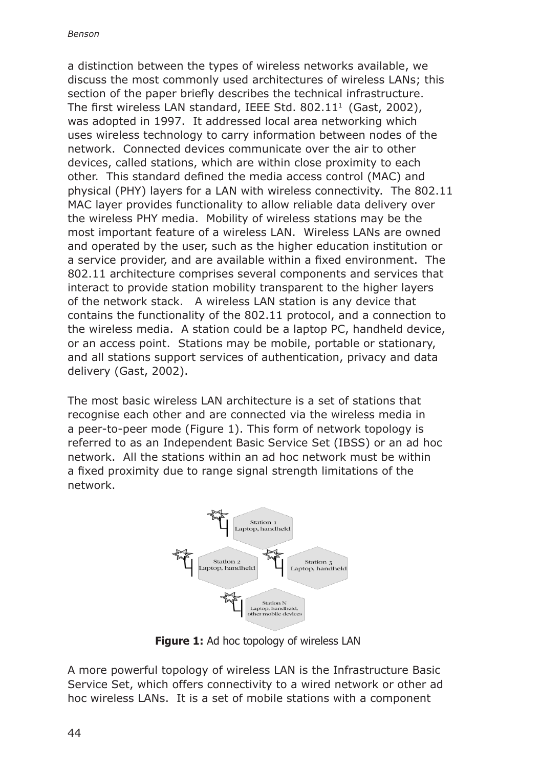a distinction between the types of wireless networks available, we discuss the most commonly used architectures of wireless LANs; this section of the paper briefly describes the technical infrastructure. The first wireless LAN standard, IEEE Std. 802.11 $^1$  (Gast, 2002), was adopted in 1997. It addressed local area networking which uses wireless technology to carry information between nodes of the network. Connected devices communicate over the air to other devices, called stations, which are within close proximity to each other. This standard defined the media access control (MAC) and physical (PHY) layers for a LAN with wireless connectivity. The 802.11 MAC layer provides functionality to allow reliable data delivery over the wireless PHY media. Mobility of wireless stations may be the most important feature of a wireless LAN. Wireless LANs are owned and operated by the user, such as the higher education institution or a service provider, and are available within a fixed environment. The 802.11 architecture comprises several components and services that interact to provide station mobility transparent to the higher layers of the network stack. A wireless LAN station is any device that contains the functionality of the 802.11 protocol, and a connection to the wireless media. A station could be a laptop PC, handheld device, or an access point. Stations may be mobile, portable or stationary, and all stations support services of authentication, privacy and data delivery (Gast, 2002).

The most basic wireless LAN architecture is a set of stations that recognise each other and are connected via the wireless media in a peer-to-peer mode (Figure 1). This form of network topology is referred to as an Independent Basic Service Set (IBSS) or an ad hoc network. All the stations within an ad hoc network must be within a fixed proximity due to range signal strength limitations of the network.



**Figure 1:** Ad hoc topology of wireless LAN

A more powerful topology of wireless LAN is the Infrastructure Basic Service Set, which offers connectivity to a wired network or other ad hoc wireless LANs. It is a set of mobile stations with a component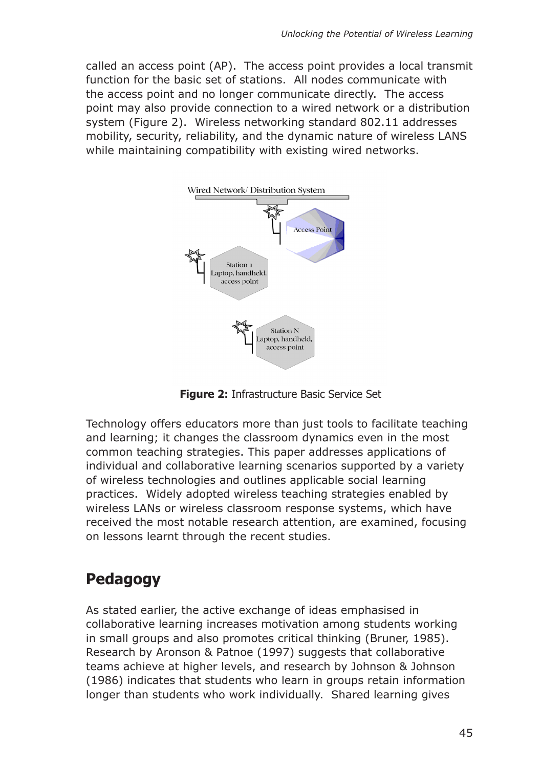called an access point (AP). The access point provides a local transmit function for the basic set of stations. All nodes communicate with the access point and no longer communicate directly. The access point may also provide connection to a wired network or a distribution system (Figure 2). Wireless networking standard 802.11 addresses mobility, security, reliability, and the dynamic nature of wireless LANS while maintaining compatibility with existing wired networks.



 **Figure 2:** Infrastructure Basic Service Set

Technology offers educators more than just tools to facilitate teaching and learning; it changes the classroom dynamics even in the most common teaching strategies. This paper addresses applications of individual and collaborative learning scenarios supported by a variety of wireless technologies and outlines applicable social learning practices. Widely adopted wireless teaching strategies enabled by wireless LANs or wireless classroom response systems, which have received the most notable research attention, are examined, focusing on lessons learnt through the recent studies.

# **Pedagogy**

As stated earlier, the active exchange of ideas emphasised in collaborative learning increases motivation among students working in small groups and also promotes critical thinking (Bruner, 1985). Research by Aronson & Patnoe (1997) suggests that collaborative teams achieve at higher levels, and research by Johnson & Johnson (1986) indicates that students who learn in groups retain information longer than students who work individually. Shared learning gives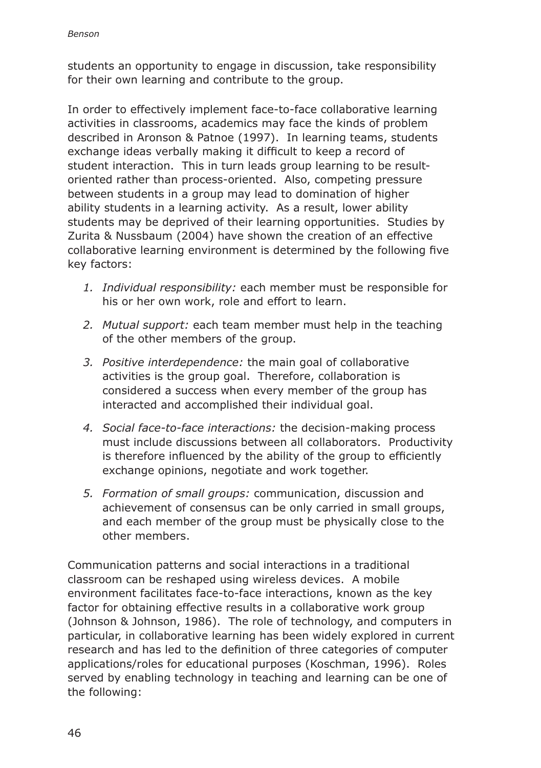students an opportunity to engage in discussion, take responsibility for their own learning and contribute to the group.

In order to effectively implement face-to-face collaborative learning activities in classrooms, academics may face the kinds of problem described in Aronson & Patnoe (1997). In learning teams, students exchange ideas verbally making it dificult to keep a record of student interaction. This in turn leads group learning to be resultoriented rather than process-oriented. Also, competing pressure between students in a group may lead to domination of higher ability students in a learning activity. As a result, lower ability students may be deprived of their learning opportunities. Studies by Zurita & Nussbaum (2004) have shown the creation of an effective collaborative learning environment is determined by the following ive key factors:

- *1. Individual responsibility:* each member must be responsible for his or her own work, role and effort to learn.
- *2. Mutual support:* each team member must help in the teaching of the other members of the group.
- *3. Positive interdependence:* the main goal of collaborative activities is the group goal. Therefore, collaboration is considered a success when every member of the group has interacted and accomplished their individual goal.
- *4. Social face-to-face interactions:* the decision-making process must include discussions between all collaborators. Productivity is therefore influenced by the ability of the group to efficiently exchange opinions, negotiate and work together.
- *5. Formation of small groups:* communication, discussion and achievement of consensus can be only carried in small groups, and each member of the group must be physically close to the other members.

Communication patterns and social interactions in a traditional classroom can be reshaped using wireless devices. A mobile environment facilitates face-to-face interactions, known as the key factor for obtaining effective results in a collaborative work group (Johnson & Johnson, 1986). The role of technology, and computers in particular, in collaborative learning has been widely explored in current research and has led to the definition of three categories of computer applications/roles for educational purposes (Koschman, 1996). Roles served by enabling technology in teaching and learning can be one of the following: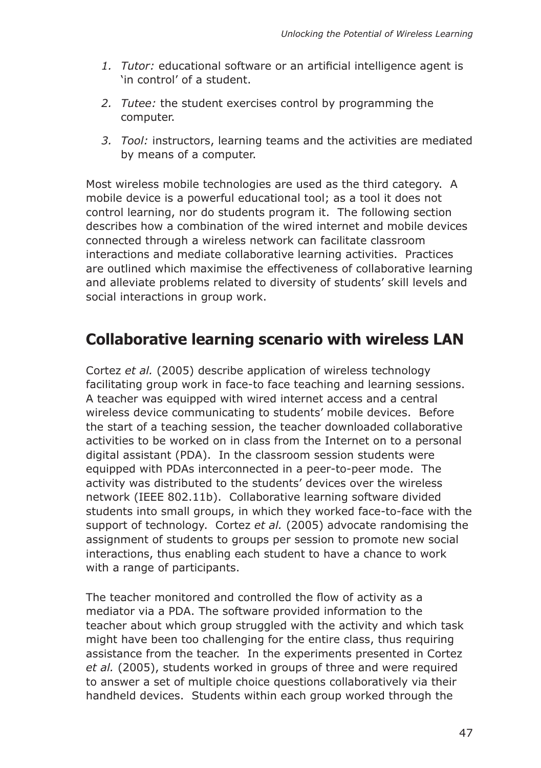- 1. Tutor: educational software or an artificial intelligence agent is 'in control' of a student.
- *2. Tutee:* the student exercises control by programming the computer.
- *3. Tool:* instructors, learning teams and the activities are mediated by means of a computer.

Most wireless mobile technologies are used as the third category. A mobile device is a powerful educational tool; as a tool it does not control learning, nor do students program it. The following section describes how a combination of the wired internet and mobile devices connected through a wireless network can facilitate classroom interactions and mediate collaborative learning activities. Practices are outlined which maximise the effectiveness of collaborative learning and alleviate problems related to diversity of students' skill levels and social interactions in group work.

### **Collaborative learning scenario with wireless LAN**

Cortez *et al.* (2005) describe application of wireless technology facilitating group work in face-to face teaching and learning sessions. A teacher was equipped with wired internet access and a central wireless device communicating to students' mobile devices. Before the start of a teaching session, the teacher downloaded collaborative activities to be worked on in class from the Internet on to a personal digital assistant (PDA). In the classroom session students were equipped with PDAs interconnected in a peer-to-peer mode. The activity was distributed to the students' devices over the wireless network (IEEE 802.11b). Collaborative learning software divided students into small groups, in which they worked face-to-face with the support of technology. Cortez *et al.* (2005) advocate randomising the assignment of students to groups per session to promote new social interactions, thus enabling each student to have a chance to work with a range of participants.

The teacher monitored and controlled the flow of activity as a mediator via a PDA. The software provided information to the teacher about which group struggled with the activity and which task might have been too challenging for the entire class, thus requiring assistance from the teacher. In the experiments presented in Cortez *et al.* (2005), students worked in groups of three and were required to answer a set of multiple choice questions collaboratively via their handheld devices. Students within each group worked through the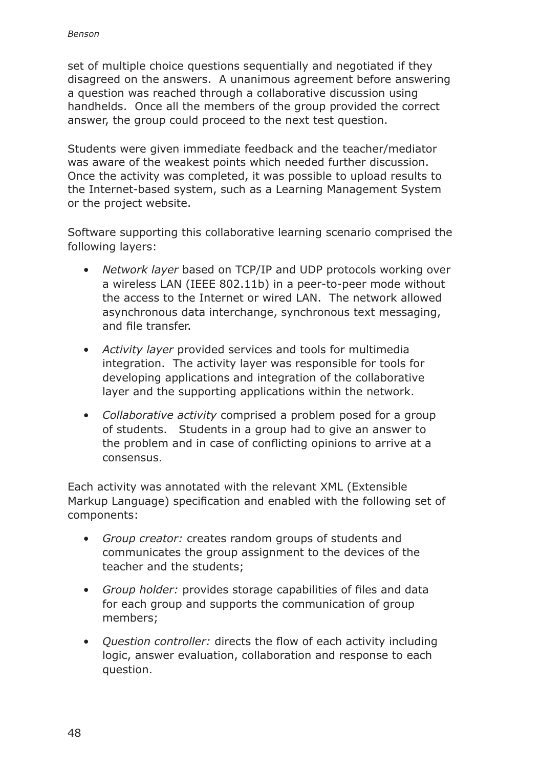set of multiple choice questions sequentially and negotiated if they disagreed on the answers. A unanimous agreement before answering a question was reached through a collaborative discussion using handhelds. Once all the members of the group provided the correct answer, the group could proceed to the next test question.

Students were given immediate feedback and the teacher/mediator was aware of the weakest points which needed further discussion. Once the activity was completed, it was possible to upload results to the Internet-based system, such as a Learning Management System or the project website.

Software supporting this collaborative learning scenario comprised the following layers:

- *• Network layer* based on TCP/IP and UDP protocols working over a wireless LAN (IEEE 802.11b) in a peer-to-peer mode without the access to the Internet or wired LAN. The network allowed asynchronous data interchange, synchronous text messaging, and file transfer.
- *• Activity layer* provided services and tools for multimedia integration. The activity layer was responsible for tools for developing applications and integration of the collaborative layer and the supporting applications within the network.
- *• Collaborative activity* comprised a problem posed for a group of students. Students in a group had to give an answer to the problem and in case of conflicting opinions to arrive at a consensus.

Each activity was annotated with the relevant XML (Extensible Markup Language) specification and enabled with the following set of components:

- *• Group creator:* creates random groups of students and communicates the group assignment to the devices of the teacher and the students;
- *Group holder:* provides storage capabilities of files and data for each group and supports the communication of group members;
- *Question controller:* directs the flow of each activity including logic, answer evaluation, collaboration and response to each question.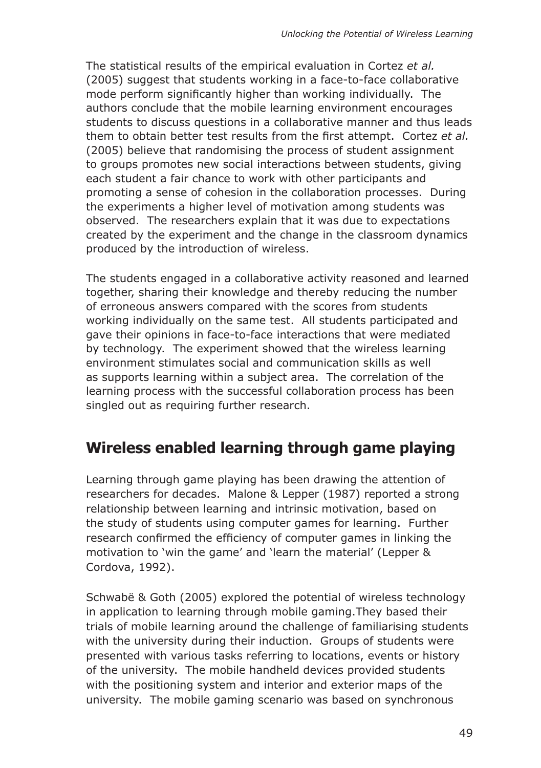The statistical results of the empirical evaluation in Cortez *et al.* (2005) suggest that students working in a face-to-face collaborative mode perform significantly higher than working individually. The authors conclude that the mobile learning environment encourages students to discuss questions in a collaborative manner and thus leads them to obtain better test results from the irst attempt. Cortez *et al.* (2005) believe that randomising the process of student assignment to groups promotes new social interactions between students, giving each student a fair chance to work with other participants and promoting a sense of cohesion in the collaboration processes. During the experiments a higher level of motivation among students was observed. The researchers explain that it was due to expectations created by the experiment and the change in the classroom dynamics produced by the introduction of wireless.

The students engaged in a collaborative activity reasoned and learned together, sharing their knowledge and thereby reducing the number of erroneous answers compared with the scores from students working individually on the same test. All students participated and gave their opinions in face-to-face interactions that were mediated by technology. The experiment showed that the wireless learning environment stimulates social and communication skills as well as supports learning within a subject area. The correlation of the learning process with the successful collaboration process has been singled out as requiring further research.

### **Wireless enabled learning through game playing**

Learning through game playing has been drawing the attention of researchers for decades. Malone & Lepper (1987) reported a strong relationship between learning and intrinsic motivation, based on the study of students using computer games for learning. Further research confirmed the efficiency of computer games in linking the motivation to 'win the game' and 'learn the material' (Lepper & Cordova, 1992).

Schwabё & Goth (2005) explored the potential of wireless technology in application to learning through mobile gaming.They based their trials of mobile learning around the challenge of familiarising students with the university during their induction. Groups of students were presented with various tasks referring to locations, events or history of the university. The mobile handheld devices provided students with the positioning system and interior and exterior maps of the university. The mobile gaming scenario was based on synchronous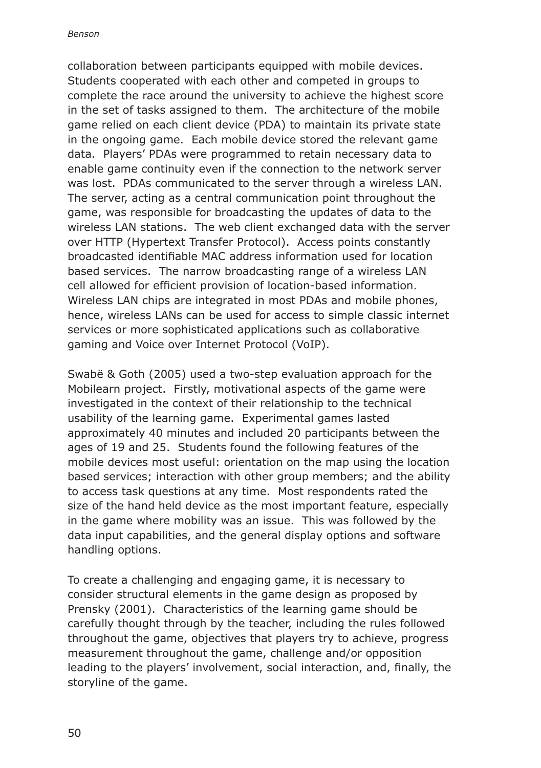*Benson*

collaboration between participants equipped with mobile devices. Students cooperated with each other and competed in groups to complete the race around the university to achieve the highest score in the set of tasks assigned to them. The architecture of the mobile game relied on each client device (PDA) to maintain its private state in the ongoing game. Each mobile device stored the relevant game data. Players' PDAs were programmed to retain necessary data to enable game continuity even if the connection to the network server was lost. PDAs communicated to the server through a wireless LAN. The server, acting as a central communication point throughout the game, was responsible for broadcasting the updates of data to the wireless LAN stations. The web client exchanged data with the server over HTTP (Hypertext Transfer Protocol). Access points constantly broadcasted identifiable MAC address information used for location based services. The narrow broadcasting range of a wireless LAN cell allowed for eficient provision of location-based information. Wireless LAN chips are integrated in most PDAs and mobile phones, hence, wireless LANs can be used for access to simple classic internet services or more sophisticated applications such as collaborative gaming and Voice over Internet Protocol (VoIP).

Swabё & Goth (2005) used a two-step evaluation approach for the Mobilearn project. Firstly, motivational aspects of the game were investigated in the context of their relationship to the technical usability of the learning game. Experimental games lasted approximately 40 minutes and included 20 participants between the ages of 19 and 25. Students found the following features of the mobile devices most useful: orientation on the map using the location based services; interaction with other group members; and the ability to access task questions at any time. Most respondents rated the size of the hand held device as the most important feature, especially in the game where mobility was an issue. This was followed by the data input capabilities, and the general display options and software handling options.

To create a challenging and engaging game, it is necessary to consider structural elements in the game design as proposed by Prensky (2001). Characteristics of the learning game should be carefully thought through by the teacher, including the rules followed throughout the game, objectives that players try to achieve, progress measurement throughout the game, challenge and/or opposition leading to the players' involvement, social interaction, and, finally, the storyline of the game.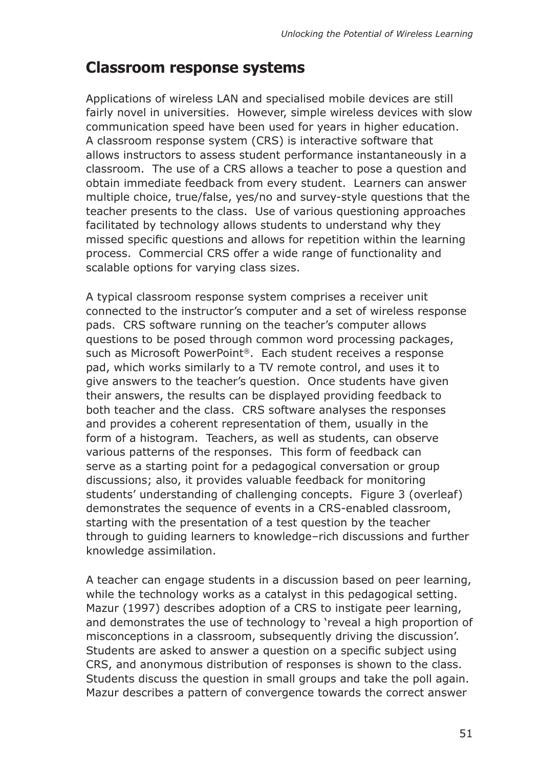#### **Classroom response systems**

Applications of wireless LAN and specialised mobile devices are still fairly novel in universities. However, simple wireless devices with slow communication speed have been used for years in higher education. A classroom response system (CRS) is interactive software that allows instructors to assess student performance instantaneously in a classroom. The use of a CRS allows a teacher to pose a question and obtain immediate feedback from every student. Learners can answer multiple choice, true/false, yes/no and survey-style questions that the teacher presents to the class. Use of various questioning approaches facilitated by technology allows students to understand why they missed specific questions and allows for repetition within the learning process. Commercial CRS offer a wide range of functionality and scalable options for varying class sizes.

A typical classroom response system comprises a receiver unit connected to the instructor's computer and a set of wireless response pads. CRS software running on the teacher's computer allows questions to be posed through common word processing packages, such as Microsoft PowerPoint®. Each student receives a response pad, which works similarly to a TV remote control, and uses it to give answers to the teacher's question. Once students have given their answers, the results can be displayed providing feedback to both teacher and the class. CRS software analyses the responses and provides a coherent representation of them, usually in the form of a histogram. Teachers, as well as students, can observe various patterns of the responses. This form of feedback can serve as a starting point for a pedagogical conversation or group discussions; also, it provides valuable feedback for monitoring students' understanding of challenging concepts. Figure 3 (overleaf) demonstrates the sequence of events in a CRS-enabled classroom, starting with the presentation of a test question by the teacher through to guiding learners to knowledge–rich discussions and further knowledge assimilation.

A teacher can engage students in a discussion based on peer learning, while the technology works as a catalyst in this pedagogical setting. Mazur (1997) describes adoption of a CRS to instigate peer learning, and demonstrates the use of technology to 'reveal a high proportion of misconceptions in a classroom, subsequently driving the discussion'. Students are asked to answer a question on a specific subject using CRS, and anonymous distribution of responses is shown to the class. Students discuss the question in small groups and take the poll again. Mazur describes a pattern of convergence towards the correct answer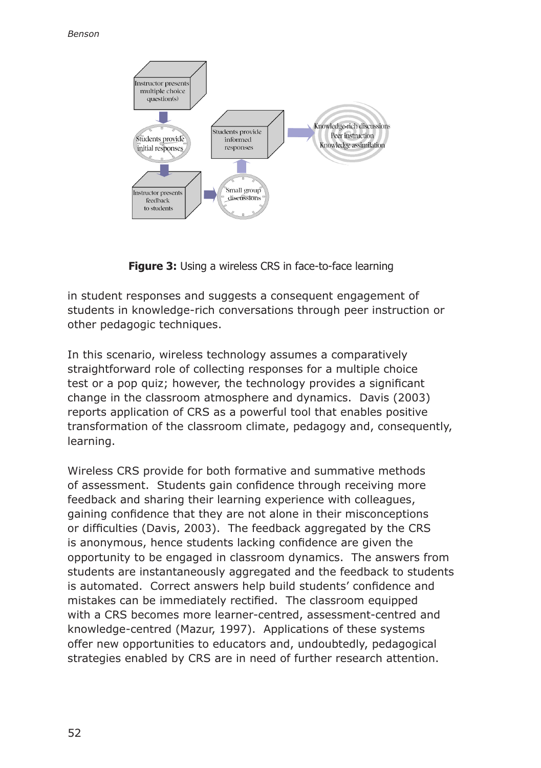

**Figure 3:** Using a wireless CRS in face-to-face learning

in student responses and suggests a consequent engagement of students in knowledge-rich conversations through peer instruction or other pedagogic techniques.

In this scenario, wireless technology assumes a comparatively straightforward role of collecting responses for a multiple choice test or a pop quiz; however, the technology provides a significant change in the classroom atmosphere and dynamics. Davis (2003) reports application of CRS as a powerful tool that enables positive transformation of the classroom climate, pedagogy and, consequently, learning.

Wireless CRS provide for both formative and summative methods of assessment. Students gain confidence through receiving more feedback and sharing their learning experience with colleagues, gaining confidence that they are not alone in their misconceptions or dificulties (Davis, 2003). The feedback aggregated by the CRS is anonymous, hence students lacking confidence are given the opportunity to be engaged in classroom dynamics. The answers from students are instantaneously aggregated and the feedback to students is automated. Correct answers help build students' confidence and mistakes can be immediately rectified. The classroom equipped with a CRS becomes more learner-centred, assessment-centred and knowledge-centred (Mazur, 1997). Applications of these systems offer new opportunities to educators and, undoubtedly, pedagogical strategies enabled by CRS are in need of further research attention.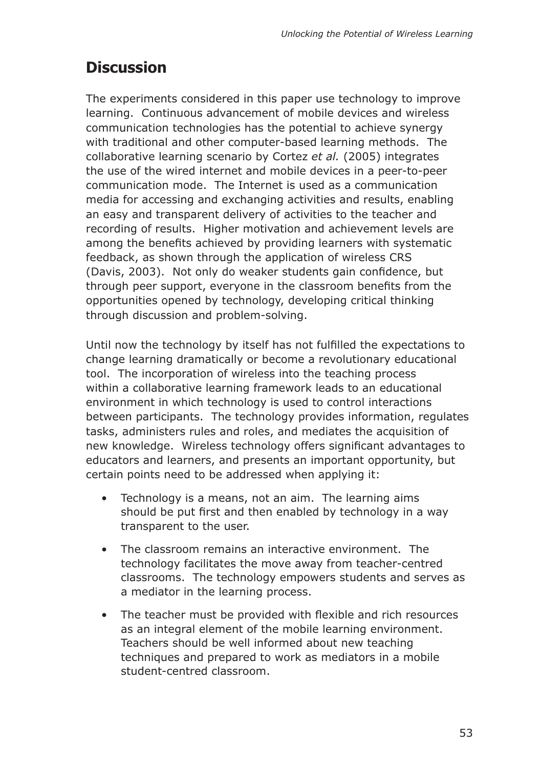# **Discussion**

The experiments considered in this paper use technology to improve learning. Continuous advancement of mobile devices and wireless communication technologies has the potential to achieve synergy with traditional and other computer-based learning methods. The collaborative learning scenario by Cortez *et al.* (2005) integrates the use of the wired internet and mobile devices in a peer-to-peer communication mode. The Internet is used as a communication media for accessing and exchanging activities and results, enabling an easy and transparent delivery of activities to the teacher and recording of results. Higher motivation and achievement levels are among the benefits achieved by providing learners with systematic feedback, as shown through the application of wireless CRS (Davis, 2003). Not only do weaker students gain confidence, but through peer support, everyone in the classroom benefits from the opportunities opened by technology, developing critical thinking through discussion and problem-solving.

Until now the technology by itself has not fulilled the expectations to change learning dramatically or become a revolutionary educational tool. The incorporation of wireless into the teaching process within a collaborative learning framework leads to an educational environment in which technology is used to control interactions between participants. The technology provides information, regulates tasks, administers rules and roles, and mediates the acquisition of new knowledge. Wireless technology offers significant advantages to educators and learners, and presents an important opportunity, but certain points need to be addressed when applying it:

- Technology is a means, not an aim. The learning aims should be put first and then enabled by technology in a way transparent to the user.
- The classroom remains an interactive environment. The technology facilitates the move away from teacher-centred classrooms. The technology empowers students and serves as a mediator in the learning process.
- The teacher must be provided with flexible and rich resources as an integral element of the mobile learning environment. Teachers should be well informed about new teaching techniques and prepared to work as mediators in a mobile student-centred classroom.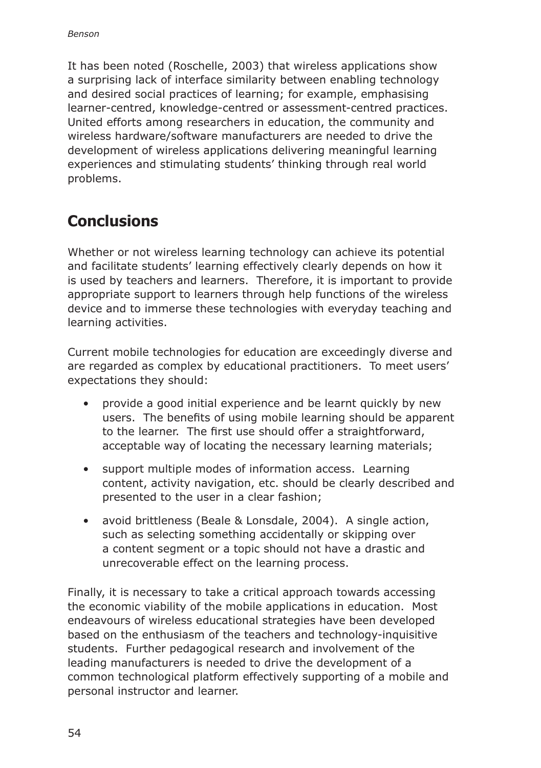It has been noted (Roschelle, 2003) that wireless applications show a surprising lack of interface similarity between enabling technology and desired social practices of learning; for example, emphasising learner-centred, knowledge-centred or assessment-centred practices. United efforts among researchers in education, the community and wireless hardware/software manufacturers are needed to drive the development of wireless applications delivering meaningful learning experiences and stimulating students' thinking through real world problems.

# **Conclusions**

Whether or not wireless learning technology can achieve its potential and facilitate students' learning effectively clearly depends on how it is used by teachers and learners. Therefore, it is important to provide appropriate support to learners through help functions of the wireless device and to immerse these technologies with everyday teaching and learning activities.

Current mobile technologies for education are exceedingly diverse and are regarded as complex by educational practitioners. To meet users' expectations they should:

- provide a good initial experience and be learnt quickly by new users. The benefits of using mobile learning should be apparent to the learner. The first use should offer a straightforward, acceptable way of locating the necessary learning materials;
- support multiple modes of information access. Learning content, activity navigation, etc. should be clearly described and presented to the user in a clear fashion;
- avoid brittleness (Beale & Lonsdale, 2004). A single action, such as selecting something accidentally or skipping over a content segment or a topic should not have a drastic and unrecoverable effect on the learning process.

Finally, it is necessary to take a critical approach towards accessing the economic viability of the mobile applications in education. Most endeavours of wireless educational strategies have been developed based on the enthusiasm of the teachers and technology-inquisitive students. Further pedagogical research and involvement of the leading manufacturers is needed to drive the development of a common technological platform effectively supporting of a mobile and personal instructor and learner.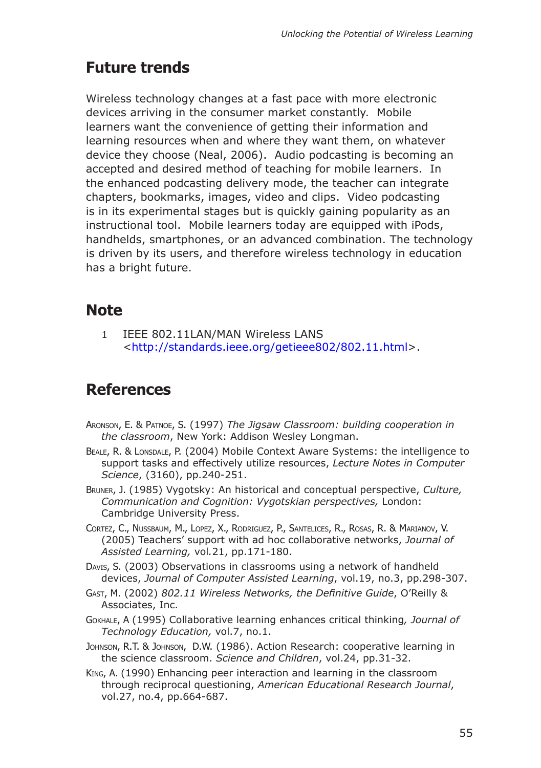### **Future trends**

Wireless technology changes at a fast pace with more electronic devices arriving in the consumer market constantly. Mobile learners want the convenience of getting their information and learning resources when and where they want them, on whatever device they choose (Neal, 2006). Audio podcasting is becoming an accepted and desired method of teaching for mobile learners. In the enhanced podcasting delivery mode, the teacher can integrate chapters, bookmarks, images, video and clips. Video podcasting is in its experimental stages but is quickly gaining popularity as an instructional tool. Mobile learners today are equipped with iPods, handhelds, smartphones, or an advanced combination. The technology is driven by its users, and therefore wireless technology in education has a bright future.

#### **Note**

1 IEEE 802.11LAN/MAN Wireless LANS <http://standards.ieee.org/getieee802/802.11.html>.

### **References**

- aronson, e. & Patnoe, s. (1997) *The Jigsaw Classroom: building cooperation in the classroom*, New York: Addison Wesley Longman.
- BEALE, R. & LONSDALE, P. (2004) Mobile Context Aware Systems: the intelligence to support tasks and effectively utilize resources, *Lecture Notes in Computer Science*, (3160), pp.240-251.
- Bruner, J. (1985) Vygotsky: An historical and conceptual perspective, *Culture, Communication and Cognition: Vygotskian perspectives,* London: Cambridge University Press.
- CORTEZ, C., NUSSBAUM, M., LOPEZ, X., RODRIGUEZ, P., SANTELICES, R., ROSAS, R. & MARIANOV, V. (2005) Teachers' support with ad hoc collaborative networks, *Journal of Assisted Learning,* vol*.*21, pp.171-180.
- Davis, S. (2003) Observations in classrooms using a network of handheld devices, *Journal of Computer Assisted Learning*, vol.19, no.3, pp.298-307.
- gast, m. (2002) *802.11 Wireless Networks, the Deinitive Guide*, O'Reilly & Associates, Inc.
- gokhale, a (1995) Collaborative learning enhances critical thinking*, Journal of Technology Education,* vol.7, no.1.
- JOHNSON, R.T. & JOHNSON, D.W. (1986). Action Research: cooperative learning in the science classroom. *Science and Children*, vol.24, pp.31-32.
- king, a. (1990) Enhancing peer interaction and learning in the classroom through reciprocal questioning, *American Educational Research Journal*, vol.27, no.4, pp.664-687.